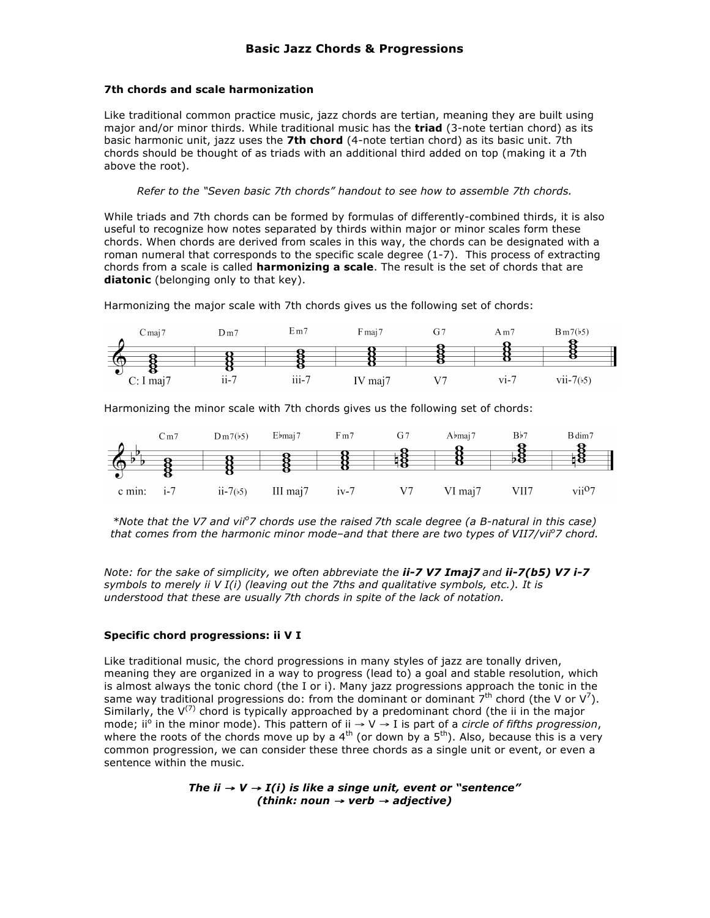## **7th chords and scale harmonization**

Like traditional common practice music, jazz chords are tertian, meaning they are built using major and/or minor thirds. While traditional music has the **triad** (3-note tertian chord) as its basic harmonic unit, jazz uses the **7th chord** (4-note tertian chord) as its basic unit. 7th chords should be thought of as triads with an additional third added on top (making it a 7th above the root).

*Refer to the "Seven basic 7th chords" handout to see how to assemble 7th chords.*

While triads and 7th chords can be formed by formulas of differently-combined thirds, it is also useful to recognize how notes separated by thirds within major or minor scales form these chords. When chords are derived from scales in this way, the chords can be designated with a roman numeral that corresponds to the specific scale degree (1-7). This process of extracting chords from a scale is called **harmonizing a scale**. The result is the set of chords that are **diatonic** (belonging only to that key).

Harmonizing the major scale with 7th chords gives us the following set of chords:



Harmonizing the minor scale with 7th chords gives us the following set of chords:



*\*Note that the V7 and vii<sup>o</sup> 7 chords use the raised 7th scale degree (a B-natural in this case) that comes from the harmonic minor mode–and that there are two types of VII7/viio 7 chord.*

*Note: for the sake of simplicity, we often abbreviate the ii-7 V7 Imaj7 and ii-7(b5) V7 i-7 symbols to merely ii V I(i) (leaving out the 7ths and qualitative symbols, etc.). It is understood that these are usually 7th chords in spite of the lack of notation.*

## **Specific chord progressions: ii V I**

Like traditional music, the chord progressions in many styles of jazz are tonally driven, meaning they are organized in a way to progress (lead to) a goal and stable resolution, which is almost always the tonic chord (the I or i). Many jazz progressions approach the tonic in the same way traditional progressions do: from the dominant or dominant  $7<sup>th</sup>$  chord (the V or V<sup>7</sup>). Similarly, the  $V^{(7)}$  chord is typically approached by a predominant chord (the ii in the major mode; ii<sup>o</sup> in the minor mode). This pattern of ii → V → I is part of a *circle of fifths progression*, where the roots of the chords move up by a  $4^{th}$  (or down by a  $5^{th}$ ). Also, because this is a very common progression, we can consider these three chords as a single unit or event, or even a sentence within the music.

> *The ii*  $\rightarrow$  *V*  $\rightarrow$  *I(i) is like a singe unit, event or "sentence" (think: noun* <sup>→</sup> *verb* <sup>→</sup> *adjective)*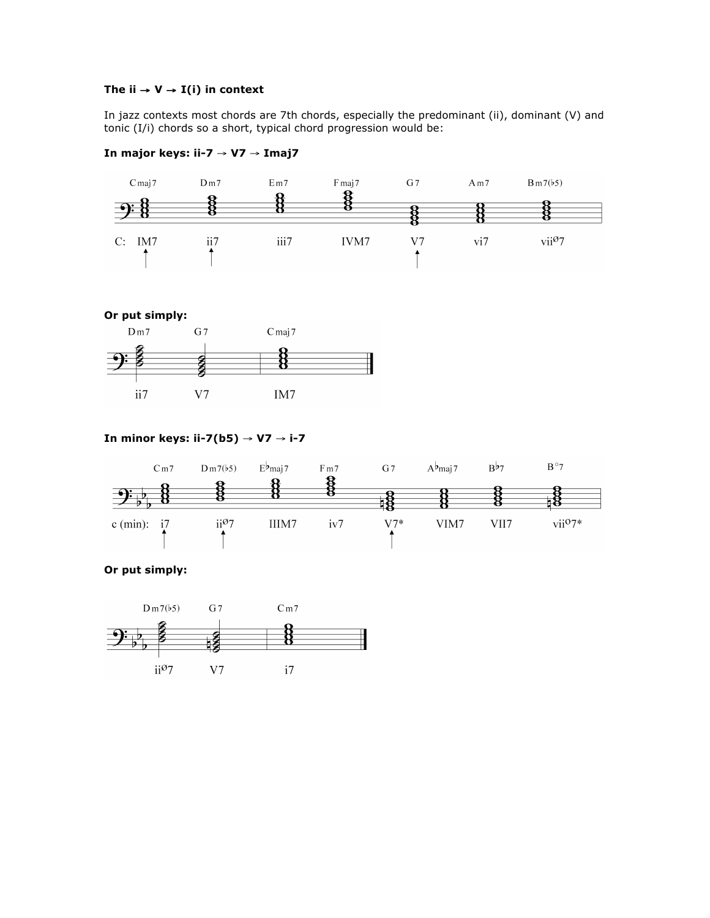# The ii  $\rightarrow$  **V**  $\rightarrow$  **I**(i) in context

In jazz contexts most chords are 7th chords, especially the predominant (ii), dominant (V) and tonic (I/i) chords so a short, typical chord progression would be:



## **In major keys: ii-7** → **V7** → **Imaj7**



## **In minor keys: ii-7(b5)** → **V7** → **i-7**



## **Or put simply:**

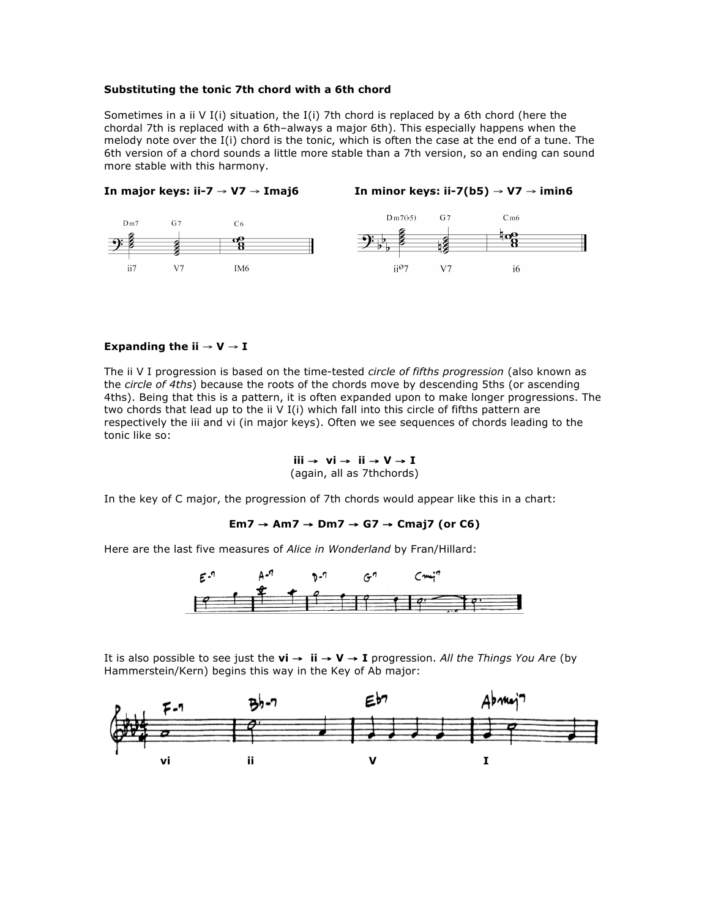#### **Substituting the tonic 7th chord with a 6th chord**

Sometimes in a ii V I(i) situation, the I(i) 7th chord is replaced by a 6th chord (here the chordal 7th is replaced with a 6th–always a major 6th). This especially happens when the melody note over the I(i) chord is the tonic, which is often the case at the end of a tune. The 6th version of a chord sounds a little more stable than a 7th version, so an ending can sound more stable with this harmony.



#### **Expanding the ii**  $\rightarrow$  $V \rightarrow I$

The ii V I progression is based on the time-tested *circle of fifths progression* (also known as the *circle of 4ths*) because the roots of the chords move by descending 5ths (or ascending 4ths). Being that this is a pattern, it is often expanded upon to make longer progressions. The two chords that lead up to the ii V I(i) which fall into this circle of fifths pattern are respectively the iii and vi (in major keys). Often we see sequences of chords leading to the tonic like so:

**iii** → **vi** → **ii** → **V** → **I**  (again, all as 7thchords)

In the key of C major, the progression of 7th chords would appear like this in a chart:

### **Em7** → **Am7** → **Dm7** → **G7** → **Cmaj7 (or C6)**

Here are the last five measures of *Alice in Wonderland* by Fran/Hillard:



It is also possible to see just the **vi** → **ii** → **V** → **I** progression. *All the Things You Are* (by Hammerstein/Kern) begins this way in the Key of Ab major: